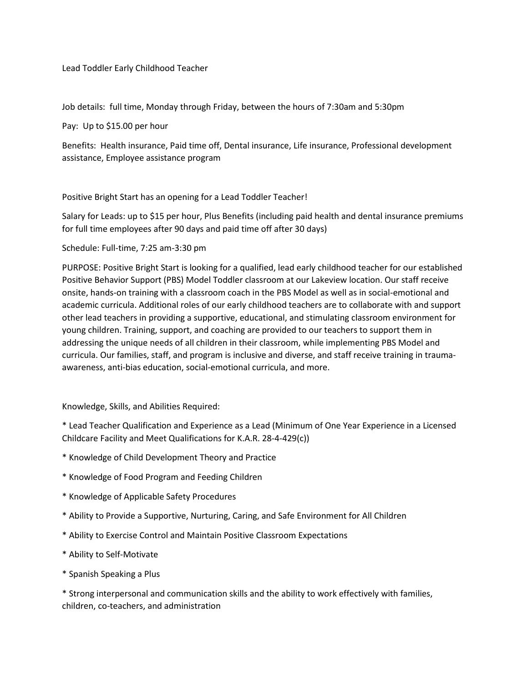Lead Toddler Early Childhood Teacher

Job details: full time, Monday through Friday, between the hours of 7:30am and 5:30pm

Pay: Up to \$15.00 per hour

Benefits: Health insurance, Paid time off, Dental insurance, Life insurance, Professional development assistance, Employee assistance program

Positive Bright Start has an opening for a Lead Toddler Teacher!

Salary for Leads: up to \$15 per hour, Plus Benefits (including paid health and dental insurance premiums for full time employees after 90 days and paid time off after 30 days)

Schedule: Full-time, 7:25 am-3:30 pm

PURPOSE: Positive Bright Start is looking for a qualified, lead early childhood teacher for our established Positive Behavior Support (PBS) Model Toddler classroom at our Lakeview location. Our staff receive onsite, hands-on training with a classroom coach in the PBS Model as well as in social-emotional and academic curricula. Additional roles of our early childhood teachers are to collaborate with and support other lead teachers in providing a supportive, educational, and stimulating classroom environment for young children. Training, support, and coaching are provided to our teachers to support them in addressing the unique needs of all children in their classroom, while implementing PBS Model and curricula. Our families, staff, and program is inclusive and diverse, and staff receive training in traumaawareness, anti-bias education, social-emotional curricula, and more.

Knowledge, Skills, and Abilities Required:

\* Lead Teacher Qualification and Experience as a Lead (Minimum of One Year Experience in a Licensed Childcare Facility and Meet Qualifications for K.A.R. 28-4-429(c))

- \* Knowledge of Child Development Theory and Practice
- \* Knowledge of Food Program and Feeding Children
- \* Knowledge of Applicable Safety Procedures
- \* Ability to Provide a Supportive, Nurturing, Caring, and Safe Environment for All Children
- \* Ability to Exercise Control and Maintain Positive Classroom Expectations
- \* Ability to Self-Motivate
- \* Spanish Speaking a Plus

\* Strong interpersonal and communication skills and the ability to work effectively with families, children, co-teachers, and administration